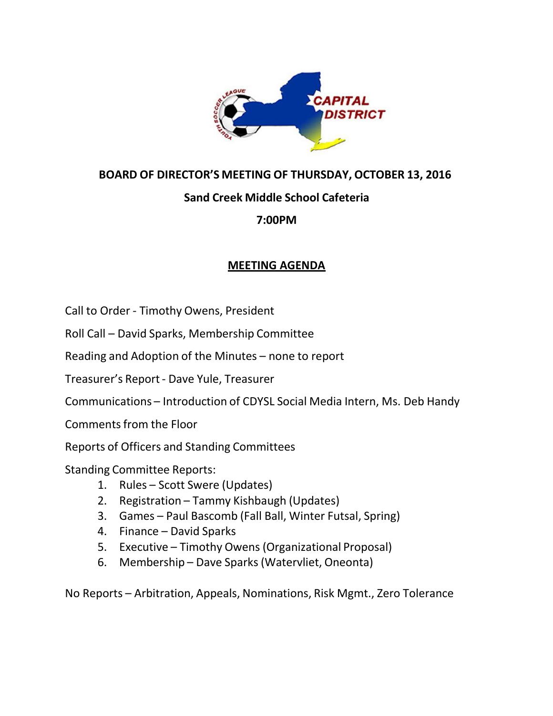

### **BOARD OF DIRECTOR'S MEETING OF THURSDAY, OCTOBER 13, 2016**

# **Sand Creek Middle School Cafeteria**

## **7:00PM**

## **MEETING AGENDA**

Call to Order ‐ Timothy Owens, President

Roll Call – David Sparks, Membership Committee

Reading and Adoption of the Minutes – none to report

Treasurer's Report‐ Dave Yule, Treasurer

Communications – Introduction of CDYSL Social Media Intern, Ms. Deb Handy

Commentsfrom the Floor

Reports of Officers and Standing Committees

Standing Committee Reports:

- 1. Rules Scott Swere (Updates)
- 2. Registration Tammy Kishbaugh (Updates)
- 3. Games Paul Bascomb (Fall Ball, Winter Futsal, Spring)
- 4. Finance David Sparks
- 5. Executive Timothy Owens (Organizational Proposal)
- 6. Membership Dave Sparks (Watervliet, Oneonta)

No Reports – Arbitration, Appeals, Nominations, Risk Mgmt., Zero Tolerance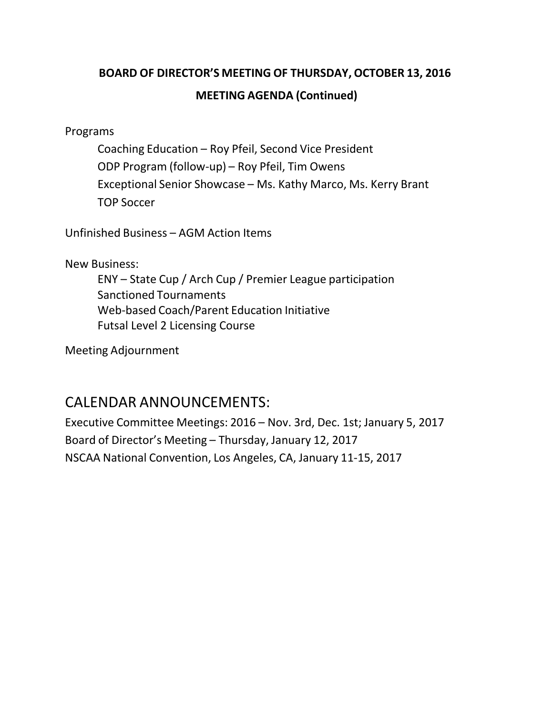# **BOARD OF DIRECTOR'S MEETING OF THURSDAY, OCTOBER 13, 2016 MEETING AGENDA (Continued)**

Programs

Coaching Education – Roy Pfeil, Second Vice President ODP Program (follow‐up) – Roy Pfeil, Tim Owens Exceptional Senior Showcase – Ms. Kathy Marco, Ms. Kerry Brant TOP Soccer

Unfinished Business – AGM Action Items

New Business:

ENY – State Cup / Arch Cup / Premier League participation Sanctioned Tournaments Web‐based Coach/Parent Education Initiative Futsal Level 2 Licensing Course

Meeting Adjournment

# CALENDAR ANNOUNCEMENTS:

Executive Committee Meetings: 2016 – Nov. 3rd, Dec. 1st; January 5, 2017 Board of Director's Meeting – Thursday, January 12, 2017 NSCAA National Convention, Los Angeles, CA, January 11‐15, 2017